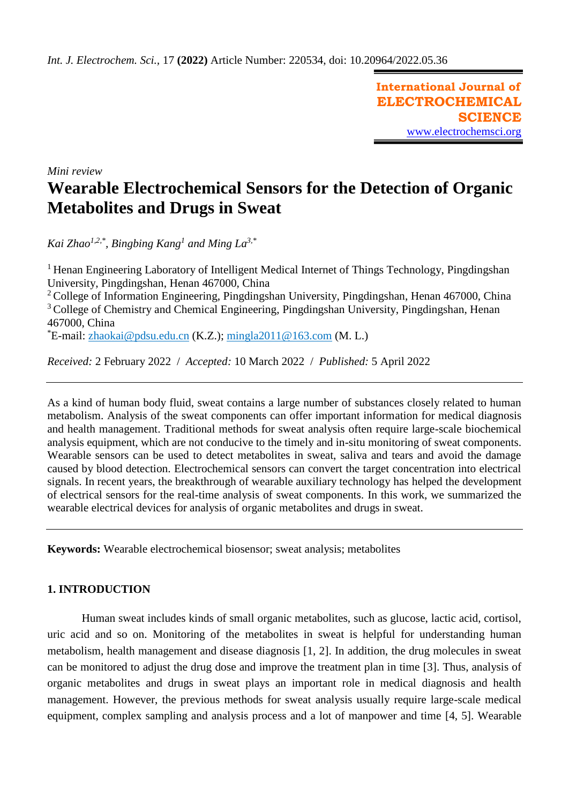**International Journal of ELECTROCHEMICAL SCIENCE** [www.electrochemsci.org](http://www.electrochemsci.org/)

*Mini review*

# **Wearable Electrochemical Sensors for the Detection of Organic Metabolites and Drugs in Sweat**

*Kai Zhao1,2,\* , Bingbing Kang<sup>1</sup> and Ming La3,\**

<sup>1</sup> Henan Engineering Laboratory of Intelligent Medical Internet of Things Technology, Pingdingshan University, Pingdingshan, Henan 467000, China

<sup>2</sup> College of Information Engineering, Pingdingshan University, Pingdingshan, Henan 467000, China <sup>3</sup> College of Chemistry and Chemical Engineering, Pingdingshan University, Pingdingshan, Henan 467000, China

 $E$ -mail: [zhaokai@pdsu.edu.cn](mailto:zhaokai@pdsu.edu.cn) (K.Z.); [mingla2011@163.com](mailto:mingla2011@163.com) (M. L.)

*Received:* 2 February 2022/ *Accepted:* 10 March 2022 / *Published:* 5 April 2022

As a kind of human body fluid, sweat contains a large number of substances closely related to human metabolism. Analysis of the sweat components can offer important information for medical diagnosis and health management. Traditional methods for sweat analysis often require large-scale biochemical analysis equipment, which are not conducive to the timely and in-situ monitoring of sweat components. Wearable sensors can be used to detect metabolites in sweat, saliva and tears and avoid the damage caused by blood detection. Electrochemical sensors can convert the target concentration into electrical signals. In recent years, the breakthrough of wearable auxiliary technology has helped the development of electrical sensors for the real-time analysis of sweat components. In this work, we summarized the wearable electrical devices for analysis of organic metabolites and drugs in sweat.

**Keywords:** Wearable electrochemical biosensor; sweat analysis; metabolites

## **1. INTRODUCTION**

Human sweat includes kinds of small organic metabolites, such as glucose, lactic acid, cortisol, uric acid and so on. Monitoring of the metabolites in sweat is helpful for understanding human metabolism, health management and disease diagnosis [1, 2]. In addition, the drug molecules in sweat can be monitored to adjust the drug dose and improve the treatment plan in time [3]. Thus, analysis of organic metabolites and drugs in sweat plays an important role in medical diagnosis and health management. However, the previous methods for sweat analysis usually require large-scale medical equipment, complex sampling and analysis process and a lot of manpower and time [4, 5]. Wearable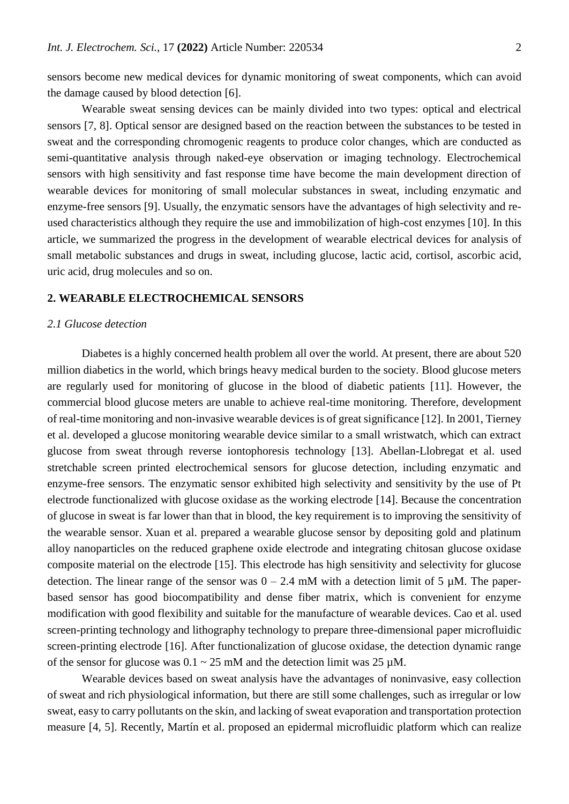sensors become new medical devices for dynamic monitoring of sweat components, which can avoid the damage caused by blood detection [6].

Wearable sweat sensing devices can be mainly divided into two types: optical and electrical sensors [7, 8]. Optical sensor are designed based on the reaction between the substances to be tested in sweat and the corresponding chromogenic reagents to produce color changes, which are conducted as semi-quantitative analysis through naked-eye observation or imaging technology. Electrochemical sensors with high sensitivity and fast response time have become the main development direction of wearable devices for monitoring of small molecular substances in sweat, including enzymatic and enzyme-free sensors [9]. Usually, the enzymatic sensors have the advantages of high selectivity and reused characteristics although they require the use and immobilization of high-cost enzymes [10]. In this article, we summarized the progress in the development of wearable electrical devices for analysis of small metabolic substances and drugs in sweat, including glucose, lactic acid, cortisol, ascorbic acid, uric acid, drug molecules and so on.

## **2. WEARABLE ELECTROCHEMICAL SENSORS**

#### *2.1 Glucose detection*

Diabetes is a highly concerned health problem all over the world. At present, there are about 520 million diabetics in the world, which brings heavy medical burden to the society. Blood glucose meters are regularly used for monitoring of glucose in the blood of diabetic patients [11]. However, the commercial blood glucose meters are unable to achieve real-time monitoring. Therefore, development of real-time monitoring and non-invasive wearable devices is of great significance [12]. In 2001, Tierney et al. developed a glucose monitoring wearable device similar to a small wristwatch, which can extract glucose from sweat through reverse iontophoresis technology [13]. Abellan-Llobregat et al. used stretchable screen printed electrochemical sensors for glucose detection, including enzymatic and enzyme-free sensors. The enzymatic sensor exhibited high selectivity and sensitivity by the use of Pt electrode functionalized with glucose oxidase as the working electrode [14]. Because the concentration of glucose in sweat is far lower than that in blood, the key requirement is to improving the sensitivity of the wearable sensor. Xuan et al. prepared a wearable glucose sensor by depositing gold and platinum alloy nanoparticles on the reduced graphene oxide electrode and integrating chitosan glucose oxidase composite material on the electrode [15]. This electrode has high sensitivity and selectivity for glucose detection. The linear range of the sensor was  $0 - 2.4$  mM with a detection limit of 5  $\mu$ M. The paperbased sensor has good biocompatibility and dense fiber matrix, which is convenient for enzyme modification with good flexibility and suitable for the manufacture of wearable devices. Cao et al. used screen-printing technology and lithography technology to prepare three-dimensional paper microfluidic screen-printing electrode [16]. After functionalization of glucose oxidase, the detection dynamic range of the sensor for glucose was  $0.1 \sim 25$  mM and the detection limit was  $25 \mu M$ .

Wearable devices based on sweat analysis have the advantages of noninvasive, easy collection of sweat and rich physiological information, but there are still some challenges, such as irregular or low sweat, easy to carry pollutants on the skin, and lacking of sweat evaporation and transportation protection measure [4, 5]. Recently, Martín et al. proposed an epidermal microfluidic platform which can realize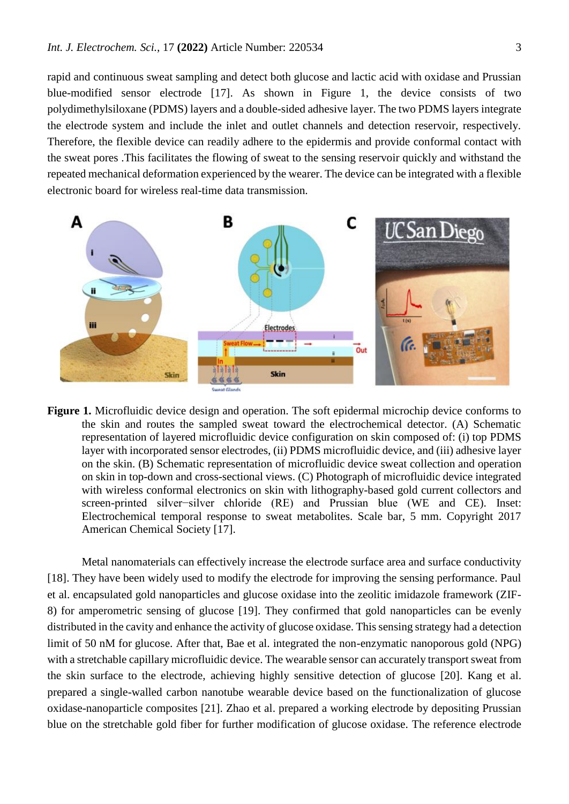rapid and continuous sweat sampling and detect both glucose and lactic acid with oxidase and Prussian blue-modified sensor electrode [17]. As shown in Figure 1, the device consists of two polydimethylsiloxane (PDMS) layers and a double-sided adhesive layer. The two PDMS layers integrate the electrode system and include the inlet and outlet channels and detection reservoir, respectively. Therefore, the flexible device can readily adhere to the epidermis and provide conformal contact with the sweat pores .This facilitates the flowing of sweat to the sensing reservoir quickly and withstand the repeated mechanical deformation experienced by the wearer. The device can be integrated with a flexible electronic board for wireless real-time data transmission.



**Figure 1.** Microfluidic device design and operation. The soft epidermal microchip device conforms to the skin and routes the sampled sweat toward the electrochemical detector. (A) Schematic representation of layered microfluidic device configuration on skin composed of: (i) top PDMS layer with incorporated sensor electrodes, (ii) PDMS microfluidic device, and (iii) adhesive layer on the skin. (B) Schematic representation of microfluidic device sweat collection and operation on skin in top-down and cross-sectional views. (C) Photograph of microfluidic device integrated with wireless conformal electronics on skin with lithography-based gold current collectors and screen-printed silver−silver chloride (RE) and Prussian blue (WE and CE). Inset: Electrochemical temporal response to sweat metabolites. Scale bar, 5 mm. Copyright 2017 American Chemical Society [17].

Metal nanomaterials can effectively increase the electrode surface area and surface conductivity [18]. They have been widely used to modify the electrode for improving the sensing performance. Paul et al. encapsulated gold nanoparticles and glucose oxidase into the zeolitic imidazole framework (ZIF-8) for amperometric sensing of glucose [19]. They confirmed that gold nanoparticles can be evenly distributed in the cavity and enhance the activity of glucose oxidase. This sensing strategy had a detection limit of 50 nM for glucose. After that, Bae et al. integrated the non-enzymatic nanoporous gold (NPG) with a stretchable capillary microfluidic device. The wearable sensor can accurately transport sweat from the skin surface to the electrode, achieving highly sensitive detection of glucose [20]. Kang et al. prepared a single-walled carbon nanotube wearable device based on the functionalization of glucose oxidase-nanoparticle composites [21]. Zhao et al. prepared a working electrode by depositing Prussian blue on the stretchable gold fiber for further modification of glucose oxidase. The reference electrode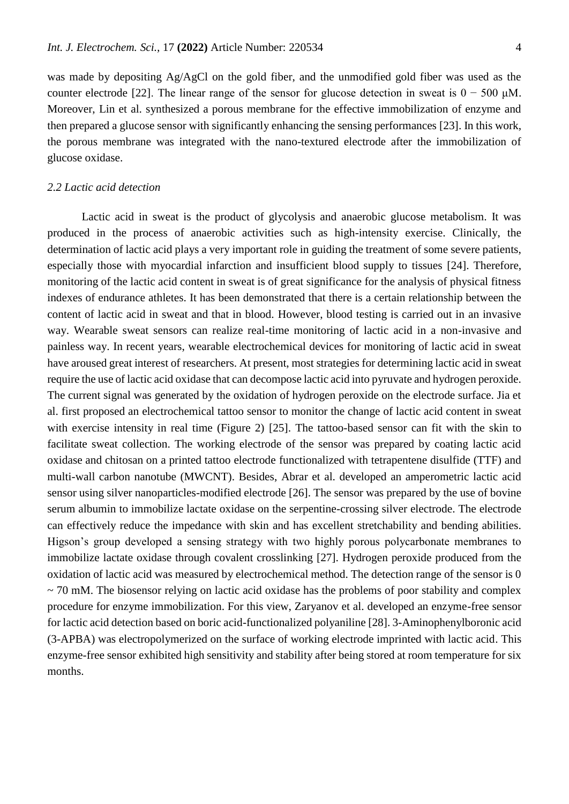was made by depositing Ag/AgCl on the gold fiber, and the unmodified gold fiber was used as the counter electrode [22]. The linear range of the sensor for glucose detection in sweat is  $0 - 500 \mu M$ . Moreover, Lin et al. synthesized a porous membrane for the effective immobilization of enzyme and then prepared a glucose sensor with significantly enhancing the sensing performances [23]. In this work, the porous membrane was integrated with the nano-textured electrode after the immobilization of glucose oxidase.

### *2.2 Lactic acid detection*

Lactic acid in sweat is the product of glycolysis and anaerobic glucose metabolism. It was produced in the process of anaerobic activities such as high-intensity exercise. Clinically, the determination of lactic acid plays a very important role in guiding the treatment of some severe patients, especially those with myocardial infarction and insufficient blood supply to tissues [24]. Therefore, monitoring of the lactic acid content in sweat is of great significance for the analysis of physical fitness indexes of endurance athletes. It has been demonstrated that there is a certain relationship between the content of lactic acid in sweat and that in blood. However, blood testing is carried out in an invasive way. Wearable sweat sensors can realize real-time monitoring of lactic acid in a non-invasive and painless way. In recent years, wearable electrochemical devices for monitoring of lactic acid in sweat have aroused great interest of researchers. At present, most strategies for determining lactic acid in sweat require the use of lactic acid oxidase that can decompose lactic acid into pyruvate and hydrogen peroxide. The current signal was generated by the oxidation of hydrogen peroxide on the electrode surface. Jia et al. first proposed an electrochemical tattoo sensor to monitor the change of lactic acid content in sweat with exercise intensity in real time (Figure 2) [25]. The tattoo-based sensor can fit with the skin to facilitate sweat collection. The working electrode of the sensor was prepared by coating lactic acid oxidase and chitosan on a printed tattoo electrode functionalized with tetrapentene disulfide (TTF) and multi-wall carbon nanotube (MWCNT). Besides, Abrar et al. developed an amperometric lactic acid sensor using silver nanoparticles-modified electrode [26]. The sensor was prepared by the use of bovine serum albumin to immobilize lactate oxidase on the serpentine-crossing silver electrode. The electrode can effectively reduce the impedance with skin and has excellent stretchability and bending abilities. Higson's group developed a sensing strategy with two highly porous polycarbonate membranes to immobilize lactate oxidase through covalent crosslinking [27]. Hydrogen peroxide produced from the oxidation of lactic acid was measured by electrochemical method. The detection range of the sensor is 0  $\sim$  70 mM. The biosensor relying on lactic acid oxidase has the problems of poor stability and complex procedure for enzyme immobilization. For this view, Zaryanov et al. developed an enzyme-free sensor for lactic acid detection based on boric acid-functionalized polyaniline [28]. 3-Aminophenylboronic acid (3-APBA) was electropolymerized on the surface of working electrode imprinted with lactic acid. This enzyme-free sensor exhibited high sensitivity and stability after being stored at room temperature for six months.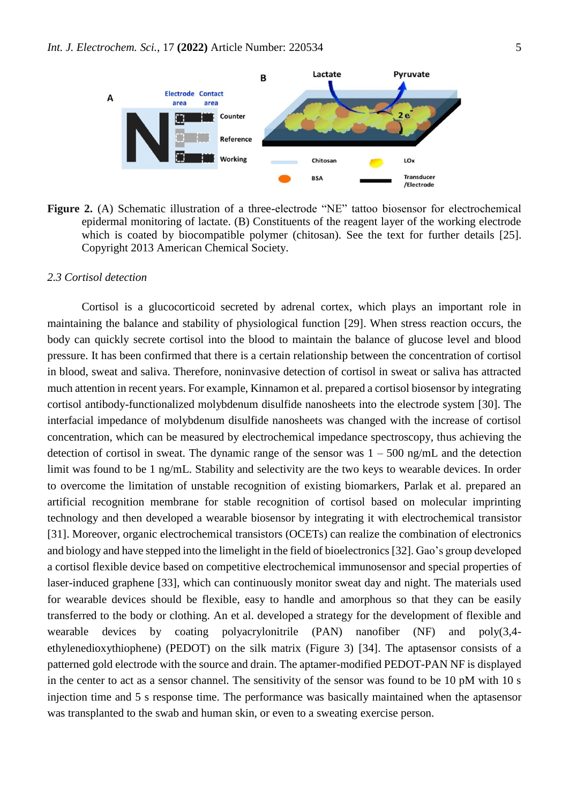

**Figure 2.** (A) Schematic illustration of a three-electrode "NE" tattoo biosensor for electrochemical epidermal monitoring of lactate. (B) Constituents of the reagent layer of the working electrode which is coated by biocompatible polymer (chitosan). See the text for further details [25]. Copyright 2013 American Chemical Society.

## *2.3 Cortisol detection*

Cortisol is a glucocorticoid secreted by adrenal cortex, which plays an important role in maintaining the balance and stability of physiological function [29]. When stress reaction occurs, the body can quickly secrete cortisol into the blood to maintain the balance of glucose level and blood pressure. It has been confirmed that there is a certain relationship between the concentration of cortisol in blood, sweat and saliva. Therefore, noninvasive detection of cortisol in sweat or saliva has attracted much attention in recent years. For example, Kinnamon et al. prepared a cortisol biosensor by integrating cortisol antibody-functionalized molybdenum disulfide nanosheets into the electrode system [30]. The interfacial impedance of molybdenum disulfide nanosheets was changed with the increase of cortisol concentration, which can be measured by electrochemical impedance spectroscopy, thus achieving the detection of cortisol in sweat. The dynamic range of the sensor was  $1 - 500$  ng/mL and the detection limit was found to be 1 ng/mL. Stability and selectivity are the two keys to wearable devices. In order to overcome the limitation of unstable recognition of existing biomarkers, Parlak et al. prepared an artificial recognition membrane for stable recognition of cortisol based on molecular imprinting technology and then developed a wearable biosensor by integrating it with electrochemical transistor [31]. Moreover, organic electrochemical transistors (OCETs) can realize the combination of electronics and biology and have stepped into the limelight in the field of bioelectronics [32]. Gao's group developed a cortisol flexible device based on competitive electrochemical immunosensor and special properties of laser-induced graphene [33], which can continuously monitor sweat day and night. The materials used for wearable devices should be flexible, easy to handle and amorphous so that they can be easily transferred to the body or clothing. An et al. developed a strategy for the development of flexible and wearable devices by coating polyacrylonitrile (PAN) nanofiber (NF) and poly(3,4 ethylenedioxythiophene) (PEDOT) on the silk matrix (Figure 3) [34]. The aptasensor consists of a patterned gold electrode with the source and drain. The aptamer-modified PEDOT-PAN NF is displayed in the center to act as a sensor channel. The sensitivity of the sensor was found to be 10 pM with 10 s injection time and 5 s response time. The performance was basically maintained when the aptasensor was transplanted to the swab and human skin, or even to a sweating exercise person.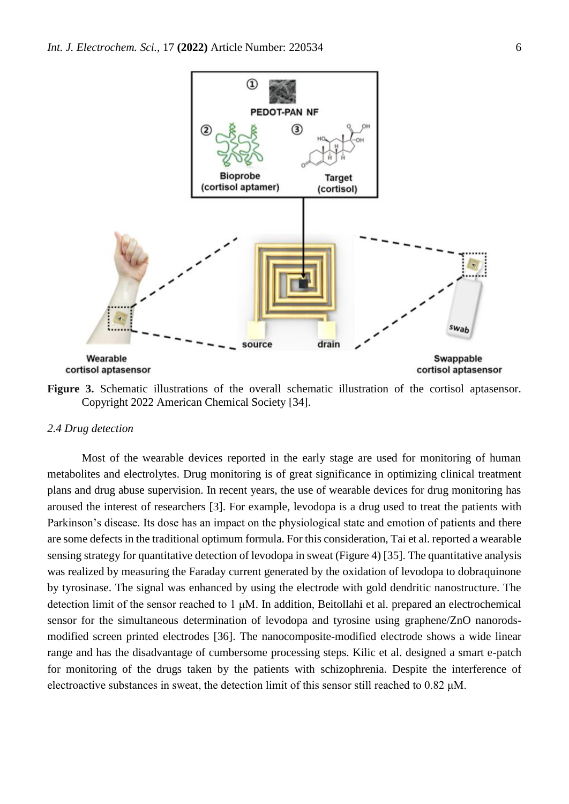

**Figure 3.** Schematic illustrations of the overall schematic illustration of the cortisol aptasensor. Copyright 2022 American Chemical Society [34].

#### *2.4 Drug detection*

Most of the wearable devices reported in the early stage are used for monitoring of human metabolites and electrolytes. Drug monitoring is of great significance in optimizing clinical treatment plans and drug abuse supervision. In recent years, the use of wearable devices for drug monitoring has aroused the interest of researchers [3]. For example, levodopa is a drug used to treat the patients with Parkinson's disease. Its dose has an impact on the physiological state and emotion of patients and there are some defects in the traditional optimum formula. For this consideration, Tai et al. reported a wearable sensing strategy for quantitative detection of levodopa in sweat (Figure 4) [35]. The quantitative analysis was realized by measuring the Faraday current generated by the oxidation of levodopa to dobraquinone by tyrosinase. The signal was enhanced by using the electrode with gold dendritic nanostructure. The detection limit of the sensor reached to 1 μM. In addition, Beitollahi et al. prepared an electrochemical sensor for the simultaneous determination of levodopa and tyrosine using graphene/ZnO nanorodsmodified screen printed electrodes [36]. The nanocomposite-modified electrode shows a wide linear range and has the disadvantage of cumbersome processing steps. Kilic et al. designed a smart e-patch for monitoring of the drugs taken by the patients with schizophrenia. Despite the interference of electroactive substances in sweat, the detection limit of this sensor still reached to 0.82 μM.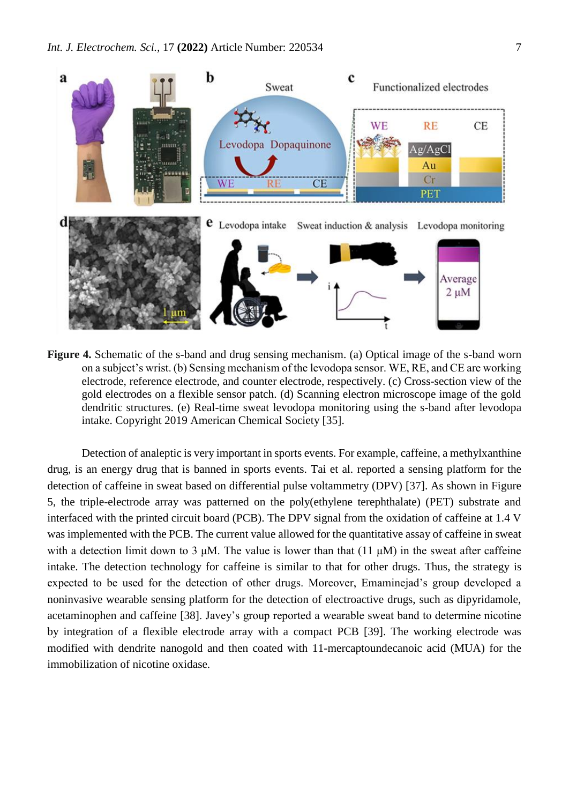

**Figure 4.** Schematic of the s-band and drug sensing mechanism. (a) Optical image of the s-band worn on a subject's wrist. (b) Sensing mechanism of the levodopa sensor. WE, RE, and CE are working electrode, reference electrode, and counter electrode, respectively. (c) Cross-section view of the gold electrodes on a flexible sensor patch. (d) Scanning electron microscope image of the gold dendritic structures. (e) Real-time sweat levodopa monitoring using the s-band after levodopa intake. Copyright 2019 American Chemical Society [35].

Detection of analeptic is very important in sports events. For example, caffeine, a methylxanthine drug, is an energy drug that is banned in sports events. Tai et al. reported a sensing platform for the detection of caffeine in sweat based on differential pulse voltammetry (DPV) [37]. As shown in Figure 5, the triple-electrode array was patterned on the poly(ethylene terephthalate) (PET) substrate and interfaced with the printed circuit board (PCB). The DPV signal from the oxidation of caffeine at 1.4 V was implemented with the PCB. The current value allowed for the quantitative assay of caffeine in sweat with a detection limit down to 3 μM. The value is lower than that  $(11 \mu M)$  in the sweat after caffeine intake. The detection technology for caffeine is similar to that for other drugs. Thus, the strategy is expected to be used for the detection of other drugs. Moreover, Emaminejad's group developed a noninvasive wearable sensing platform for the detection of electroactive drugs, such as dipyridamole, acetaminophen and caffeine [38]. Javey's group reported a wearable sweat band to determine nicotine by integration of a flexible electrode array with a compact PCB [39]. The working electrode was modified with dendrite nanogold and then coated with 11-mercaptoundecanoic acid (MUA) for the immobilization of nicotine oxidase.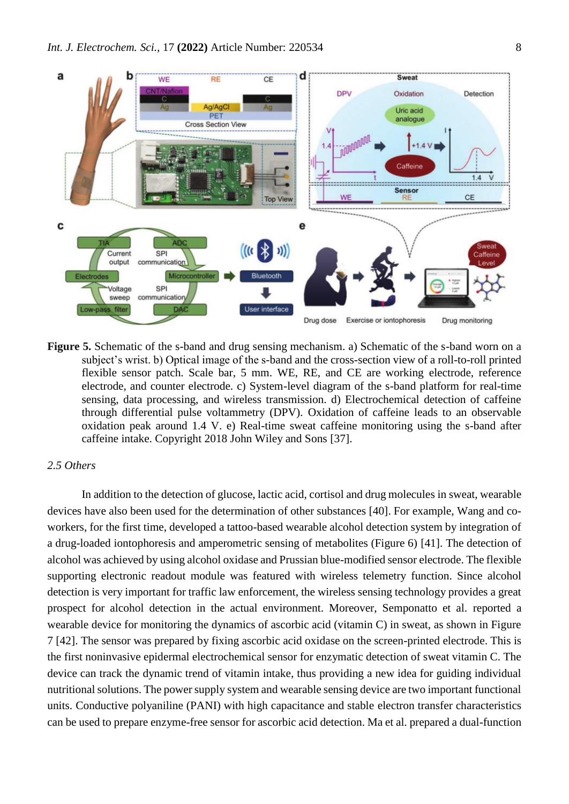

**Figure 5.** Schematic of the s-band and drug sensing mechanism. a) Schematic of the s-band worn on a subject's wrist. b) Optical image of the s-band and the cross-section view of a roll-to-roll printed flexible sensor patch. Scale bar, 5 mm. WE, RE, and CE are working electrode, reference electrode, and counter electrode. c) System-level diagram of the s-band platform for real-time sensing, data processing, and wireless transmission. d) Electrochemical detection of caffeine through differential pulse voltammetry (DPV). Oxidation of caffeine leads to an observable oxidation peak around 1.4 V. e) Real-time sweat caffeine monitoring using the s-band after caffeine intake. Copyright 2018 John Wiley and Sons [37].

### *2.5 Others*

In addition to the detection of glucose, lactic acid, cortisol and drug molecules in sweat, wearable devices have also been used for the determination of other substances [40]. For example, Wang and coworkers, for the first time, developed a tattoo-based wearable alcohol detection system by integration of a drug-loaded iontophoresis and amperometric sensing of metabolites (Figure 6) [41]. The detection of alcohol was achieved by using alcohol oxidase and Prussian blue-modified sensor electrode. The flexible supporting electronic readout module was featured with wireless telemetry function. Since alcohol detection is very important for traffic law enforcement, the wireless sensing technology provides a great prospect for alcohol detection in the actual environment. Moreover, Semponatto et al. reported a wearable device for monitoring the dynamics of ascorbic acid (vitamin C) in sweat, as shown in Figure 7 [42]. The sensor was prepared by fixing ascorbic acid oxidase on the screen-printed electrode. This is the first noninvasive epidermal electrochemical sensor for enzymatic detection of sweat vitamin C. The device can track the dynamic trend of vitamin intake, thus providing a new idea for guiding individual nutritional solutions. The power supply system and wearable sensing device are two important functional units. Conductive polyaniline (PANI) with high capacitance and stable electron transfer characteristics can be used to prepare enzyme-free sensor for ascorbic acid detection. Ma et al. prepared a dual-function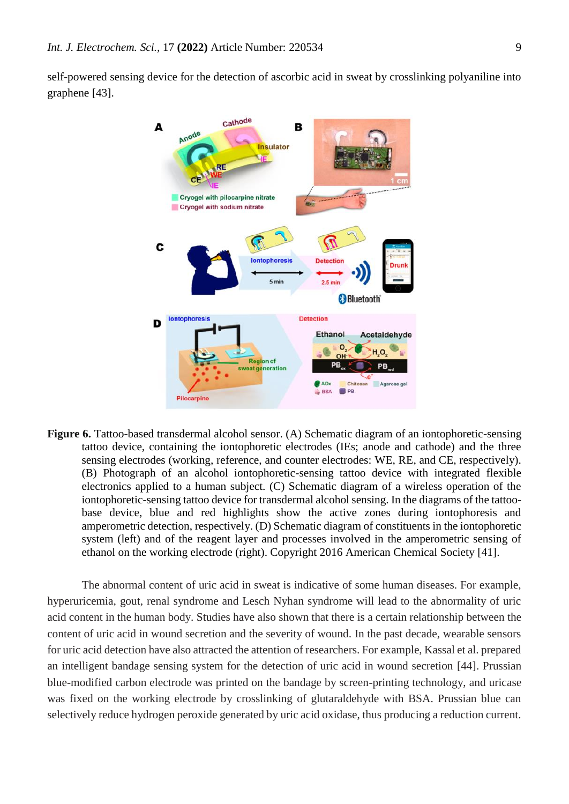self-powered sensing device for the detection of ascorbic acid in sweat by crosslinking polyaniline into graphene [43].



**Figure 6.** Tattoo-based transdermal alcohol sensor. (A) Schematic diagram of an iontophoretic-sensing tattoo device, containing the iontophoretic electrodes (IEs; anode and cathode) and the three sensing electrodes (working, reference, and counter electrodes: WE, RE, and CE, respectively). (B) Photograph of an alcohol iontophoretic-sensing tattoo device with integrated flexible electronics applied to a human subject. (C) Schematic diagram of a wireless operation of the iontophoretic-sensing tattoo device for transdermal alcohol sensing. In the diagrams of the tattoobase device, blue and red highlights show the active zones during iontophoresis and amperometric detection, respectively. (D) Schematic diagram of constituents in the iontophoretic system (left) and of the reagent layer and processes involved in the amperometric sensing of ethanol on the working electrode (right). Copyright 2016 American Chemical Society [41].

The abnormal content of uric acid in sweat is indicative of some human diseases. For example, hyperuricemia, gout, renal syndrome and Lesch Nyhan syndrome will lead to the abnormality of uric acid content in the human body. Studies have also shown that there is a certain relationship between the content of uric acid in wound secretion and the severity of wound. In the past decade, wearable sensors for uric acid detection have also attracted the attention of researchers. For example, Kassal et al. prepared an intelligent bandage sensing system for the detection of uric acid in wound secretion [44]. Prussian blue-modified carbon electrode was printed on the bandage by screen-printing technology, and uricase was fixed on the working electrode by crosslinking of glutaraldehyde with BSA. Prussian blue can selectively reduce hydrogen peroxide generated by uric acid oxidase, thus producing a reduction current.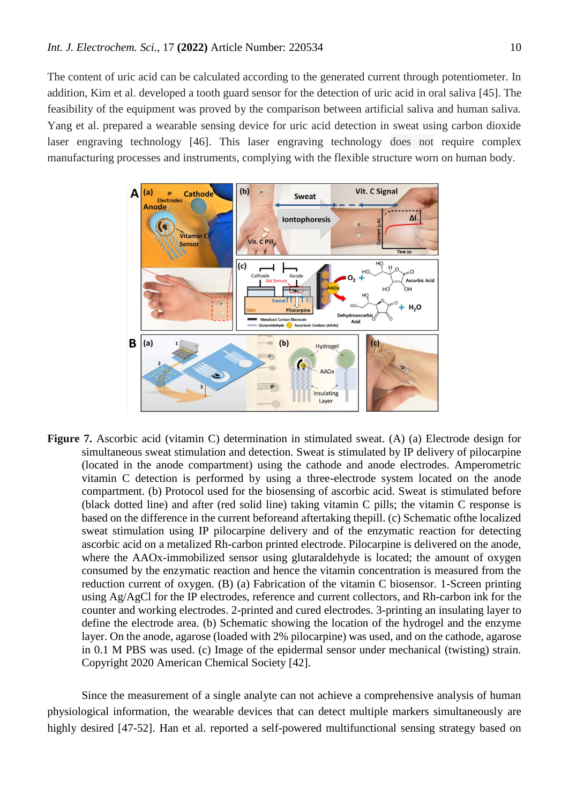The content of uric acid can be calculated according to the generated current through potentiometer. In addition, Kim et al. developed a tooth guard sensor for the detection of uric acid in oral saliva [45]. The feasibility of the equipment was proved by the comparison between artificial saliva and human saliva. Yang et al. prepared a wearable sensing device for uric acid detection in sweat using carbon dioxide laser engraving technology [46]. This laser engraving technology does not require complex manufacturing processes and instruments, complying with the flexible structure worn on human body.



**Figure 7.** Ascorbic acid (vitamin C) determination in stimulated sweat. (A) (a) Electrode design for simultaneous sweat stimulation and detection. Sweat is stimulated by IP delivery of pilocarpine (located in the anode compartment) using the cathode and anode electrodes. Amperometric vitamin C detection is performed by using a three-electrode system located on the anode compartment. (b) Protocol used for the biosensing of ascorbic acid. Sweat is stimulated before (black dotted line) and after (red solid line) taking vitamin C pills; the vitamin C response is based on the difference in the current beforeand aftertaking thepill. (c) Schematic ofthe localized sweat stimulation using IP pilocarpine delivery and of the enzymatic reaction for detecting ascorbic acid on a metalized Rh-carbon printed electrode. Pilocarpine is delivered on the anode, where the AAOx-immobilized sensor using glutaraldehyde is located; the amount of oxygen consumed by the enzymatic reaction and hence the vitamin concentration is measured from the reduction current of oxygen. (B) (a) Fabrication of the vitamin C biosensor. 1-Screen printing using Ag/AgCl for the IP electrodes, reference and current collectors, and Rh-carbon ink for the counter and working electrodes. 2-printed and cured electrodes. 3-printing an insulating layer to define the electrode area. (b) Schematic showing the location of the hydrogel and the enzyme layer. On the anode, agarose (loaded with 2% pilocarpine) was used, and on the cathode, agarose in 0.1 M PBS was used. (c) Image of the epidermal sensor under mechanical (twisting) strain. Copyright 2020 American Chemical Society [42].

Since the measurement of a single analyte can not achieve a comprehensive analysis of human physiological information, the wearable devices that can detect multiple markers simultaneously are highly desired [47-52]. Han et al. reported a self-powered multifunctional sensing strategy based on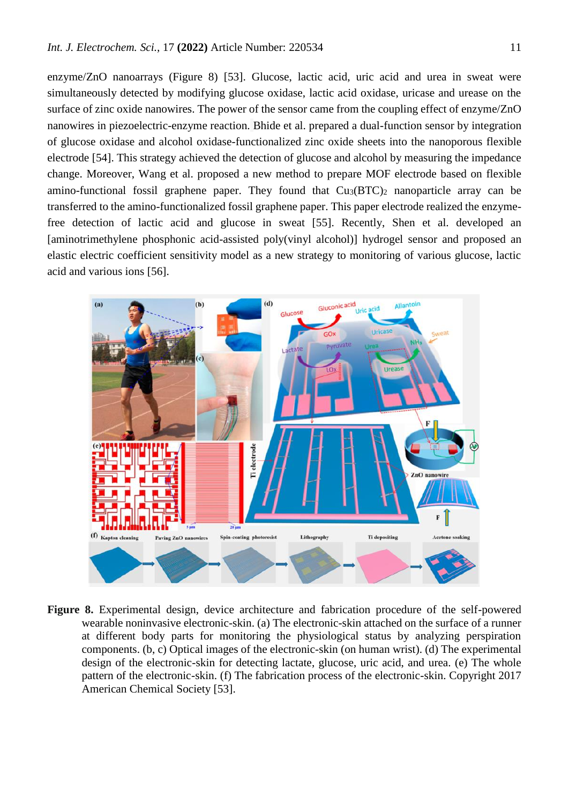enzyme/ZnO nanoarrays (Figure 8) [53]. Glucose, lactic acid, uric acid and urea in sweat were simultaneously detected by modifying glucose oxidase, lactic acid oxidase, uricase and urease on the surface of zinc oxide nanowires. The power of the sensor came from the coupling effect of enzyme/ZnO nanowires in piezoelectric-enzyme reaction. Bhide et al. prepared a dual-function sensor by integration of glucose oxidase and alcohol oxidase-functionalized zinc oxide sheets into the nanoporous flexible electrode [54]. This strategy achieved the detection of glucose and alcohol by measuring the impedance change. Moreover, Wang et al. proposed a new method to prepare MOF electrode based on flexible amino-functional fossil graphene paper. They found that  $Cu<sub>3</sub>(BTC)<sub>2</sub>$  nanoparticle array can be transferred to the amino-functionalized fossil graphene paper. This paper electrode realized the enzymefree detection of lactic acid and glucose in sweat [55]. Recently, Shen et al. developed an [aminotrimethylene phosphonic acid-assisted poly(vinyl alcohol)] hydrogel sensor and proposed an elastic electric coefficient sensitivity model as a new strategy to monitoring of various glucose, lactic acid and various ions [56].



**Figure 8.** Experimental design, device architecture and fabrication procedure of the self-powered wearable noninvasive electronic-skin. (a) The electronic-skin attached on the surface of a runner at different body parts for monitoring the physiological status by analyzing perspiration components. (b, c) Optical images of the electronic-skin (on human wrist). (d) The experimental design of the electronic-skin for detecting lactate, glucose, uric acid, and urea. (e) The whole pattern of the electronic-skin. (f) The fabrication process of the electronic-skin. Copyright 2017 American Chemical Society [53].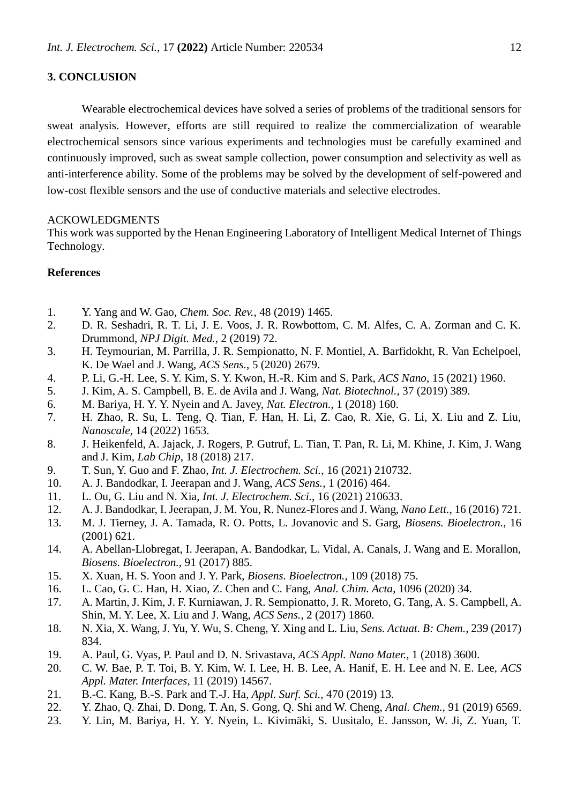## **3. CONCLUSION**

Wearable electrochemical devices have solved a series of problems of the traditional sensors for sweat analysis. However, efforts are still required to realize the commercialization of wearable electrochemical sensors since various experiments and technologies must be carefully examined and continuously improved, such as sweat sample collection, power consumption and selectivity as well as anti-interference ability. Some of the problems may be solved by the development of self-powered and low-cost flexible sensors and the use of conductive materials and selective electrodes.

#### ACKOWLEDGMENTS

This work was supported by the Henan Engineering Laboratory of Intelligent Medical Internet of Things Technology.

## **References**

- 1. Y. Yang and W. Gao, *Chem. Soc. Rev.*, 48 (2019) 1465.
- 2. D. R. Seshadri, R. T. Li, J. E. Voos, J. R. Rowbottom, C. M. Alfes, C. A. Zorman and C. K. Drummond, *NPJ Digit. Med.*, 2 (2019) 72.
- 3. H. Teymourian, M. Parrilla, J. R. Sempionatto, N. F. Montiel, A. Barfidokht, R. Van Echelpoel, K. De Wael and J. Wang, *ACS Sens.*, 5 (2020) 2679.
- 4. P. Li, G.-H. Lee, S. Y. Kim, S. Y. Kwon, H.-R. Kim and S. Park, *ACS Nano*, 15 (2021) 1960.
- 5. J. Kim, A. S. Campbell, B. E. de Avila and J. Wang, *Nat. Biotechnol.*, 37 (2019) 389.
- 6. M. Bariya, H. Y. Y. Nyein and A. Javey, *Nat. Electron.*, 1 (2018) 160.
- 7. H. Zhao, R. Su, L. Teng, Q. Tian, F. Han, H. Li, Z. Cao, R. Xie, G. Li, X. Liu and Z. Liu, *Nanoscale*, 14 (2022) [1653.](https://doi.org/10.1039/D1031NR06244A)
- 8. J. Heikenfeld, A. Jajack, J. Rogers, P. Gutruf, L. Tian, T. Pan, R. Li, M. Khine, J. Kim, J. Wang and J. Kim, *Lab Chip*, 18 (2018) 217.
- 9. T. Sun, Y. Guo and F. Zhao, *Int. J. Electrochem. Sci.*, 16 (2021) 210732.
- 10. A. J. Bandodkar, I. Jeerapan and J. Wang, *ACS Sens.*, 1 (2016) 464.
- 11. L. Ou, G. Liu and N. Xia, *Int. J. Electrochem. Sci.*, 16 (2021) 210633.
- 12. A. J. Bandodkar, I. Jeerapan, J. M. You, R. Nunez-Flores and J. Wang, *Nano Lett.*, 16 (2016) 721.
- 13. M. J. Tierney, J. A. Tamada, R. O. Potts, L. Jovanovic and S. Garg, *Biosens. Bioelectron.*, 16 (2001) 621.
- 14. A. Abellan-Llobregat, I. Jeerapan, A. Bandodkar, L. Vidal, A. Canals, J. Wang and E. Morallon, *Biosens. Bioelectron.*, 91 (2017) 885.
- 15. X. Xuan, H. S. Yoon and J. Y. Park, *Biosens. Bioelectron.*, 109 (2018) 75.
- 16. L. Cao, G. C. Han, H. Xiao, Z. Chen and C. Fang, *Anal. Chim. Acta*, 1096 (2020) 34.
- 17. A. Martin, J. Kim, J. F. Kurniawan, J. R. Sempionatto, J. R. Moreto, G. Tang, A. S. Campbell, A. Shin, M. Y. Lee, X. Liu and J. Wang, *ACS Sens.*, 2 (2017) 1860.
- 18. N. Xia, X. Wang, J. Yu, Y. Wu, S. Cheng, Y. Xing and L. Liu, *Sens. Actuat. B: Chem.*, 239 (2017) 834.
- 19. A. Paul, G. Vyas, P. Paul and D. N. Srivastava, *ACS Appl. Nano Mater.*, 1 (2018) 3600.
- 20. C. W. Bae, P. T. Toi, B. Y. Kim, W. I. Lee, H. B. Lee, A. Hanif, E. H. Lee and N. E. Lee, *ACS Appl. Mater. Interfaces*, 11 (2019) 14567.
- 21. B.-C. Kang, B.-S. Park and T.-J. Ha, *Appl. Surf. Sci.*, 470 (2019) 13.
- 22. Y. Zhao, Q. Zhai, D. Dong, T. An, S. Gong, Q. Shi and W. Cheng, *Anal. Chem.*, 91 (2019) 6569.
- 23. Y. Lin, M. Bariya, H. Y. Y. Nyein, L. Kivimäki, S. Uusitalo, E. Jansson, W. Ji, Z. Yuan, T.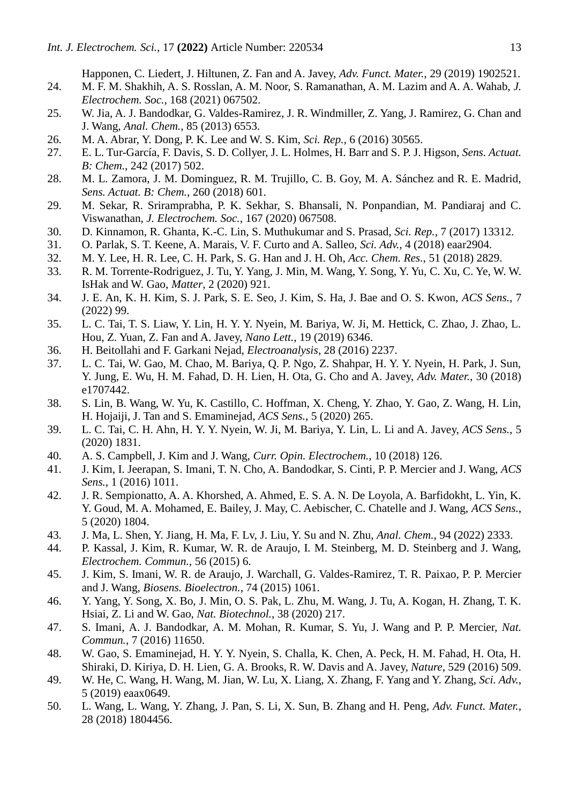Happonen, C. Liedert, J. Hiltunen, Z. Fan and A. Javey, *Adv. Funct. Mater.*, 29 (2019) 1902521.

- 24. M. F. M. Shakhih, A. S. Rosslan, A. M. Noor, S. Ramanathan, A. M. Lazim and A. A. Wahab, *J. Electrochem. Soc.*, 168 (2021) 067502.
- 25. W. Jia, A. J. Bandodkar, G. Valdes-Ramirez, J. R. Windmiller, Z. Yang, J. Ramirez, G. Chan and J. Wang, *Anal. Chem.*, 85 (2013) 6553.
- 26. M. A. Abrar, Y. Dong, P. K. Lee and W. S. Kim, *Sci. Rep.*, 6 (2016) 30565.
- 27. E. L. Tur-García, F. Davis, S. D. Collyer, J. L. Holmes, H. Barr and S. P. J. Higson, *Sens. Actuat. B: Chem.*, 242 (2017) 502.
- 28. M. L. Zamora, J. M. Dominguez, R. M. Trujillo, C. B. Goy, M. A. Sánchez and R. E. Madrid, *Sens. Actuat. B: Chem.*, 260 (2018) 601.
- 29. M. Sekar, R. Sriramprabha, P. K. Sekhar, S. Bhansali, N. Ponpandian, M. Pandiaraj and C. Viswanathan, *J. Electrochem. Soc.*, 167 (2020) 067508.
- 30. D. Kinnamon, R. Ghanta, K.-C. Lin, S. Muthukumar and S. Prasad, *Sci. Rep.*, 7 (2017) 13312.
- 31. O. Parlak, S. T. Keene, A. Marais, V. F. Curto and A. Salleo, *Sci. Adv.*, 4 (2018) eaar2904.
- 32. M. Y. Lee, H. R. Lee, C. H. Park, S. G. Han and J. H. Oh, *Acc. Chem. Res.*, 51 (2018) 2829.
- 33. R. M. Torrente-Rodriguez, J. Tu, Y. Yang, J. Min, M. Wang, Y. Song, Y. Yu, C. Xu, C. Ye, W. W. IsHak and W. Gao, *Matter*, 2 (2020) 921.
- 34. J. E. An, K. H. Kim, S. J. Park, S. E. Seo, J. Kim, S. Ha, J. Bae and O. S. Kwon, *ACS Sens.*, 7 (2022) 99.
- 35. L. C. Tai, T. S. Liaw, Y. Lin, H. Y. Y. Nyein, M. Bariya, W. Ji, M. Hettick, C. Zhao, J. Zhao, L. Hou, Z. Yuan, Z. Fan and A. Javey, *Nano Lett.*, 19 (2019) 6346.
- 36. H. Beitollahi and F. Garkani Nejad, *Electroanalysis*, 28 (2016) 2237.
- 37. L. C. Tai, W. Gao, M. Chao, M. Bariya, Q. P. Ngo, Z. Shahpar, H. Y. Y. Nyein, H. Park, J. Sun, Y. Jung, E. Wu, H. M. Fahad, D. H. Lien, H. Ota, G. Cho and A. Javey, *Adv. Mater.*, 30 (2018) e1707442.
- 38. S. Lin, B. Wang, W. Yu, K. Castillo, C. Hoffman, X. Cheng, Y. Zhao, Y. Gao, Z. Wang, H. Lin, H. Hojaiji, J. Tan and S. Emaminejad, *ACS Sens.*, 5 (2020) 265.
- 39. L. C. Tai, C. H. Ahn, H. Y. Y. Nyein, W. Ji, M. Bariya, Y. Lin, L. Li and A. Javey, *ACS Sens.*, 5 (2020) 1831.
- 40. A. S. Campbell, J. Kim and J. Wang, *Curr. Opin. Electrochem.*, 10 (2018) 126.
- 41. J. Kim, I. Jeerapan, S. Imani, T. N. Cho, A. Bandodkar, S. Cinti, P. P. Mercier and J. Wang, *ACS Sens.*, 1 (2016) 1011.
- 42. J. R. Sempionatto, A. A. Khorshed, A. Ahmed, E. S. A. N. De Loyola, A. Barfidokht, L. Yin, K. Y. Goud, M. A. Mohamed, E. Bailey, J. May, C. Aebischer, C. Chatelle and J. Wang, *ACS Sens.*, 5 (2020) 1804.
- 43. J. Ma, L. Shen, Y. Jiang, H. Ma, F. Lv, J. Liu, Y. Su and N. Zhu, *Anal. Chem.*, 94 (2022) 2333.
- 44. P. Kassal, J. Kim, R. Kumar, W. R. de Araujo, I. M. Steinberg, M. D. Steinberg and J. Wang, *Electrochem. Commun.*, 56 (2015) 6.
- 45. J. Kim, S. Imani, W. R. de Araujo, J. Warchall, G. Valdes-Ramirez, T. R. Paixao, P. P. Mercier and J. Wang, *Biosens. Bioelectron.*, 74 (2015) 1061.
- 46. Y. Yang, Y. Song, X. Bo, J. Min, O. S. Pak, L. Zhu, M. Wang, J. Tu, A. Kogan, H. Zhang, T. K. Hsiai, Z. Li and W. Gao, *Nat. Biotechnol.*, 38 (2020) 217.
- 47. S. Imani, A. J. Bandodkar, A. M. Mohan, R. Kumar, S. Yu, J. Wang and P. P. Mercier, *Nat. Commun.*, 7 (2016) 11650.
- 48. W. Gao, S. Emaminejad, H. Y. Y. Nyein, S. Challa, K. Chen, A. Peck, H. M. Fahad, H. Ota, H. Shiraki, D. Kiriya, D. H. Lien, G. A. Brooks, R. W. Davis and A. Javey, *Nature*, 529 (2016) 509.
- 49. W. He, C. Wang, H. Wang, M. Jian, W. Lu, X. Liang, X. Zhang, F. Yang and Y. Zhang, *Sci. Adv.*, 5 (2019) eaax0649.
- 50. L. Wang, L. Wang, Y. Zhang, J. Pan, S. Li, X. Sun, B. Zhang and H. Peng, *Adv. Funct. Mater.*, 28 (2018) 1804456.